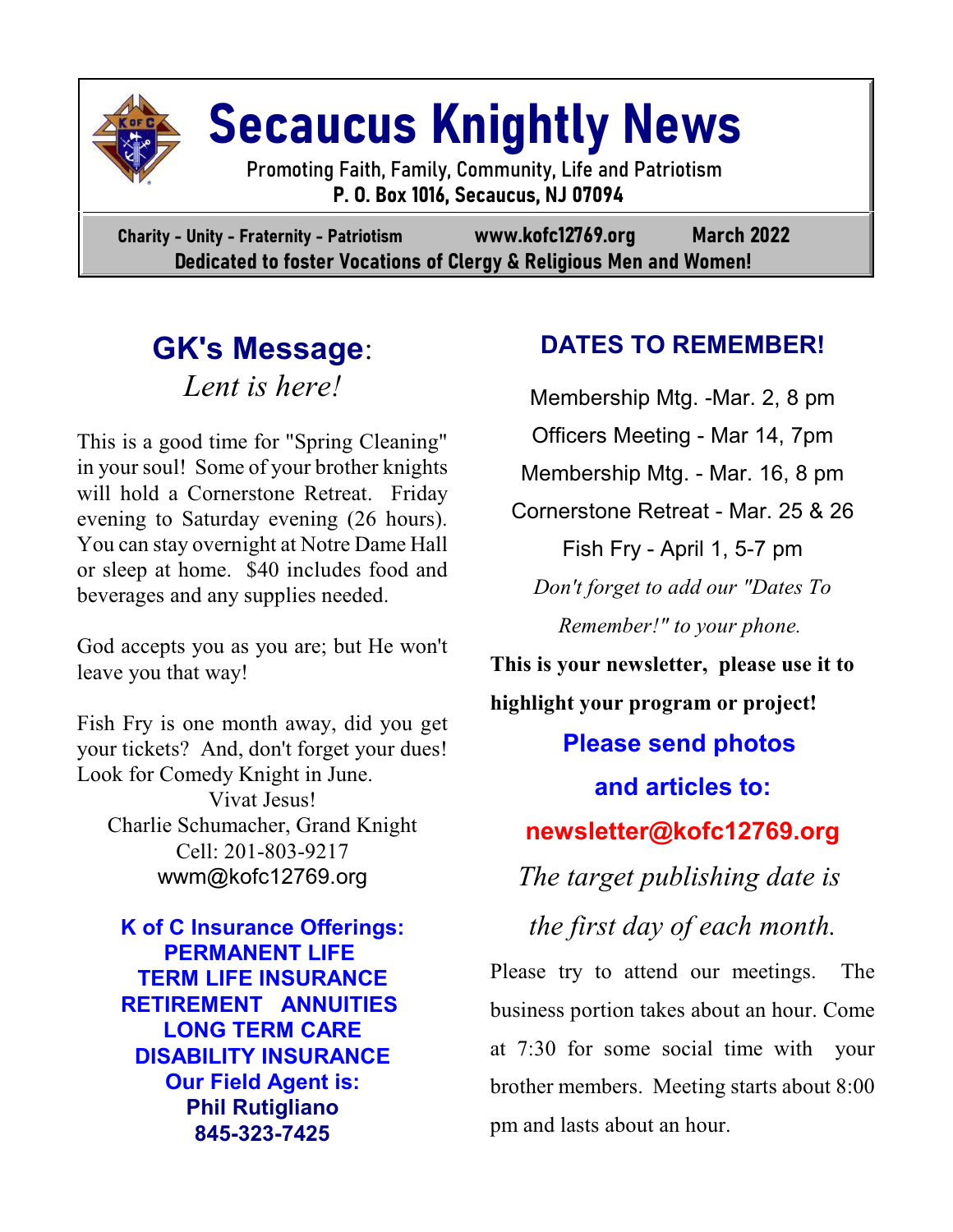

# **Secaucus Knightly News**

 Promoting Faith, Family, Community, Life and Patriotism  **P. O. Box 1016, Secaucus, NJ 07094**

**Charity - Unity - Fraternity - Patriotism www.kofc12769.org March 2022 Dedicated to foster Vocations of Clergy & Religious Men and Women!**

## **GK's Message**: *Lent is here!*

This is a good time for "Spring Cleaning" in your soul! Some of your brother knights will hold a Cornerstone Retreat. Friday evening to Saturday evening (26 hours). You can stay overnight at Notre Dame Hall or sleep at home. \$40 includes food and beverages and any supplies needed.

God accepts you as you are; but He won't leave you that way!

Fish Fry is one month away, did you get your tickets? And, don't forget your dues! Look for Comedy Knight in June.

Vivat Jesus! Charlie Schumacher, Grand Knight Cell: 201-803-9217 wwm@kofc12769.org

**K of C Insurance Offerings: PERMANENT LIFE TERM LIFE INSURANCE RETIREMENT ANNUITIES LONG TERM CARE DISABILITY INSURANCE Our Field Agent is: Phil Rutigliano 845-323-7425**

## **DATES TO REMEMBER!**

Membership Mtg. -Mar. 2, 8 pm Officers Meeting - Mar 14, 7pm Membership Mtg. - Mar. 16, 8 pm Cornerstone Retreat - Mar. 25 & 26 Fish Fry - April 1, 5-7 pm *Don't forget to add our "Dates To Remember!" to your phone.*

**This is your newsletter, please use it to highlight your program or project! Please send photos and articles to: newsletter@kofc12769.org** *The target publishing date is the first day of each month.* Please try to attend our meetings. The business portion takes about an hour. Come

at 7:30 for some social time with your brother members. Meeting starts about 8:00 pm and lasts about an hour.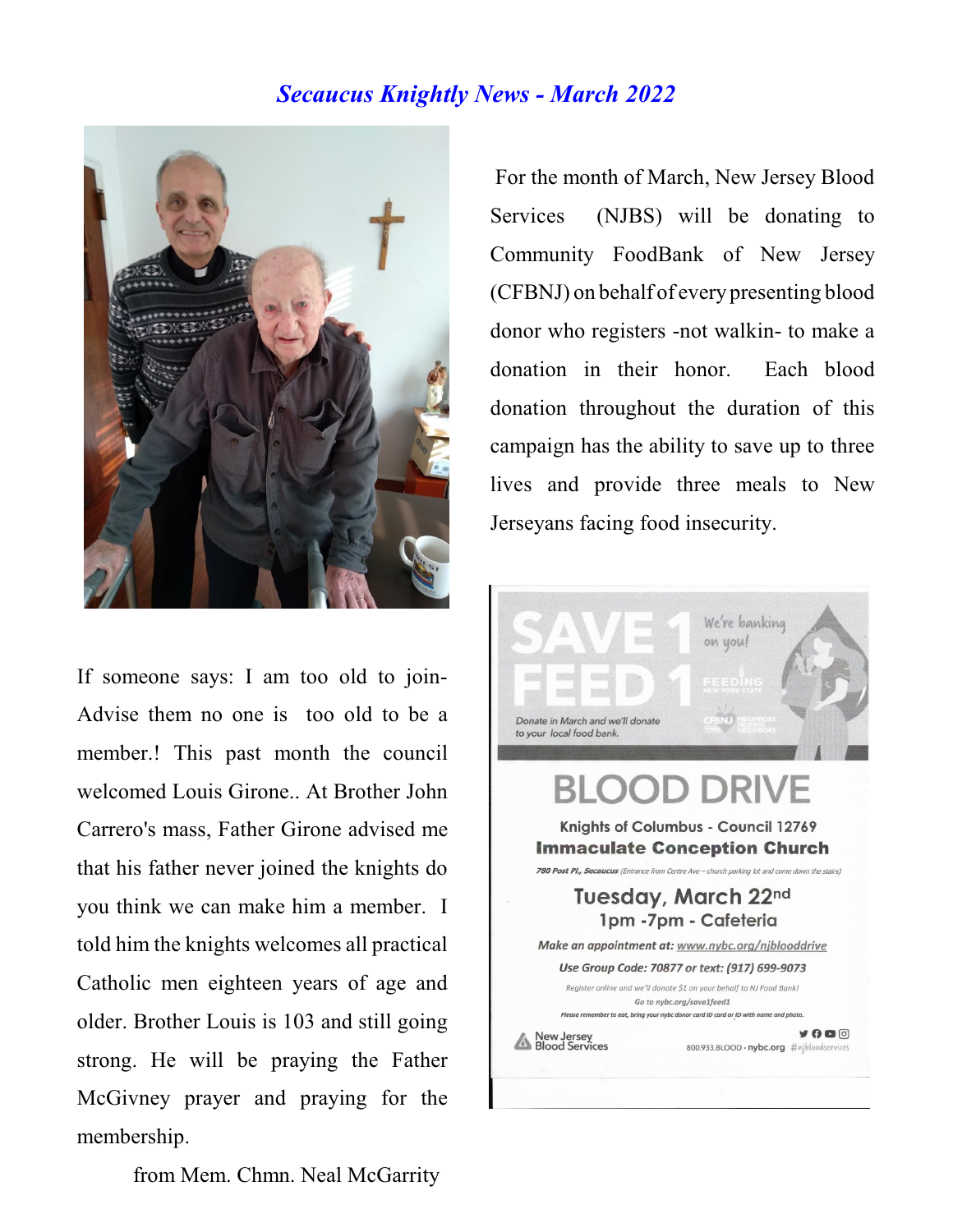#### *Secaucus Knightly News - March 2022*



If someone says: I am too old to join-Advise them no one is too old to be a member.! This past month the council welcomed Louis Girone.. At Brother John Carrero's mass, Father Girone advised me that his father never joined the knights do you think we can make him a member. I told him the knights welcomes all practical Catholic men eighteen years of age and older. Brother Louis is 103 and still going strong. He will be praying the Father McGivney prayer and praying for the membership.

For the month of March, New Jersey Blood Services (NJBS) will be donating to Community FoodBank of New Jersey (CFBNJ) on behalf of every presenting blood donor who registers -not walkin- to make a donation in their honor. Each blood donation throughout the duration of this campaign has the ability to save up to three lives and provide three meals to New Jerseyans facing food insecurity.



from Mem. Chmn. Neal McGarrity